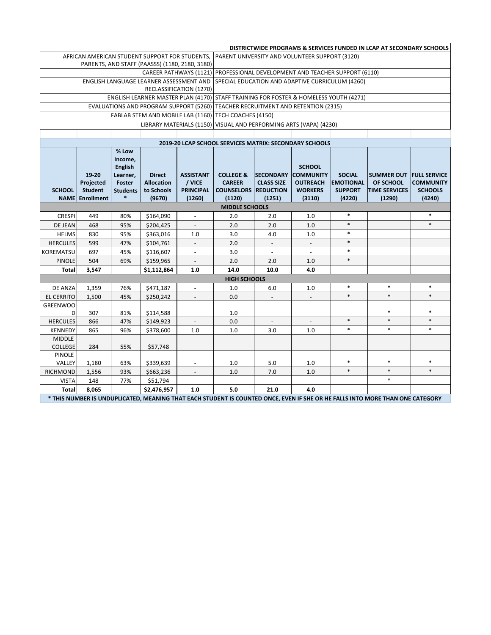|                                                | DISTRICTWIDE PROGRAMS & SERVICES FUNDED IN LCAP AT SECONDARY SCHOOLS |                  |                                    |                                                  |                                                        |                   |                          |                  |                      |                     |  |
|------------------------------------------------|----------------------------------------------------------------------|------------------|------------------------------------|--------------------------------------------------|--------------------------------------------------------|-------------------|--------------------------|------------------|----------------------|---------------------|--|
| AFRICAN AMERICAN STUDENT SUPPORT FOR STUDENTS, |                                                                      |                  |                                    | PARENT UNIVERSITY AND VOLUNTEER SUPPORT (3120)   |                                                        |                   |                          |                  |                      |                     |  |
| PARENTS, AND STAFF (PAASSS) (1180, 2180, 3180) |                                                                      |                  |                                    |                                                  |                                                        |                   |                          |                  |                      |                     |  |
|                                                | <b>CAREER PATHWAYS (1121)</b>                                        |                  |                                    |                                                  | PROFESSIONAL DEVELOPMENT AND TEACHER SUPPORT (6110)    |                   |                          |                  |                      |                     |  |
| ENGLISH LANGUAGE LEARNER ASSESSMENT AND        |                                                                      |                  |                                    | SPECIAL EDUCATION AND ADAPTIVE CURRICULUM (4260) |                                                        |                   |                          |                  |                      |                     |  |
|                                                |                                                                      |                  |                                    | RECLASSIFICATION (1270)                          |                                                        |                   |                          |                  |                      |                     |  |
|                                                |                                                                      |                  | ENGLISH LEARNER MASTER PLAN (4170) |                                                  | STAFF TRAINING FOR FOSTER & HOMELESS YOUTH (4271)      |                   |                          |                  |                      |                     |  |
| <b>EVALUATIONS AND PROGRAM SUPPORT (5260)</b>  |                                                                      |                  |                                    |                                                  | TEACHER RECRUITMENT AND RETENTION (2315)               |                   |                          |                  |                      |                     |  |
|                                                |                                                                      |                  | FABLAB STEM AND MOBILE LAB (1160)  |                                                  | TECH COACHES (4150)                                    |                   |                          |                  |                      |                     |  |
| LIBRARY MATERIALS (1150)                       |                                                                      |                  |                                    | VISUAL AND PERFORMING ARTS (VAPA) (4230)         |                                                        |                   |                          |                  |                      |                     |  |
|                                                |                                                                      |                  |                                    |                                                  |                                                        |                   |                          |                  |                      |                     |  |
|                                                |                                                                      |                  |                                    |                                                  | 2019-20 LCAP SCHOOL SERVICES MATRIX: SECONDARY SCHOOLS |                   |                          |                  |                      |                     |  |
|                                                |                                                                      | % Low<br>Income, |                                    |                                                  |                                                        |                   |                          |                  |                      |                     |  |
|                                                |                                                                      | <b>English</b>   |                                    |                                                  |                                                        |                   | <b>SCHOOL</b>            |                  |                      |                     |  |
|                                                | 19-20                                                                | Learner,         | <b>Direct</b>                      | <b>ASSISTANT</b>                                 | <b>COLLEGE &amp;</b>                                   | <b>SECONDARY</b>  | <b>COMMUNITY</b>         | <b>SOCIAL</b>    | <b>SUMMER OUT</b>    | <b>FULL SERVICE</b> |  |
|                                                | Projected                                                            | Foster           | <b>Allocation</b>                  | / VICE                                           | <b>CAREER</b>                                          | <b>CLASS SIZE</b> | <b>OUTREACH</b>          | <b>EMOTIONAL</b> | OF SCHOOL            | <b>COMMUNITY</b>    |  |
| <b>SCHOOL</b>                                  | <b>Student</b>                                                       | <b>Students</b>  | to Schools                         | <b>PRINCIPAL</b>                                 | <b>COUNSELORS REDUCTION</b>                            |                   | <b>WORKERS</b>           | <b>SUPPORT</b>   | <b>TIME SERVICES</b> | <b>SCHOOLS</b>      |  |
|                                                | <b>NAME</b> Enrollment                                               |                  | (9670)                             | (1260)                                           | (1120)                                                 | (1251)            | (3110)                   | (4220)           | (1290)               | (4240)              |  |
|                                                |                                                                      |                  |                                    |                                                  | <b>MIDDLE SCHOOLS</b>                                  |                   |                          |                  |                      |                     |  |
| <b>CRESPI</b>                                  | 449                                                                  | 80%              | \$164,090                          | $\blacksquare$                                   | 2.0                                                    | 2.0               | 1.0                      | $\ast$           |                      | $\ast$              |  |
| DE JEAN                                        | 468                                                                  | 95%              | \$204,425                          |                                                  | 2.0                                                    | 2.0               | 1.0                      | $\ast$           |                      | $\ast$              |  |
| <b>HELMS</b>                                   | 830                                                                  | 95%              | \$363,016                          | 1.0                                              | 3.0                                                    | 4.0               | 1.0                      | $\ast$           |                      |                     |  |
| <b>HERCULES</b>                                | 599                                                                  | 47%              | \$104,761                          |                                                  | 2.0                                                    |                   | $\frac{1}{2}$            | $\ast$           |                      |                     |  |
| KOREMATSU                                      | 697                                                                  | 45%              | \$116,607                          | $\omega$                                         | 3.0                                                    | L.                | $\overline{\phantom{a}}$ | $\ast$           |                      |                     |  |
| <b>PINOLE</b>                                  | 504                                                                  | 69%              | \$159,965                          | $\blacksquare$                                   | 2.0                                                    | 2.0               | 1.0                      | $\ast$           |                      |                     |  |
| <b>Total</b>                                   | 3,547                                                                |                  | \$1,112,864                        | 1.0                                              | 14.0                                                   | 10.0              | 4.0                      |                  |                      |                     |  |
| <b>HIGH SCHOOLS</b>                            |                                                                      |                  |                                    |                                                  |                                                        |                   |                          |                  |                      |                     |  |
| DE ANZA                                        | 1,359                                                                | 76%              | \$471,187                          | ÷,                                               | 1.0                                                    | 6.0               | 1.0                      | $\ast$           | $\ast$               | $\ast$              |  |
| <b>EL CERRITO</b>                              | 1,500                                                                | 45%              | \$250,242                          | $\overline{\phantom{a}}$                         | 0.0                                                    |                   |                          | $\ast$           | $\ast$               | $\ast$              |  |
| <b>GREENWOO</b>                                |                                                                      |                  |                                    |                                                  |                                                        |                   |                          |                  | $\ast$               | $\ast$              |  |
| D                                              | 307                                                                  | 81%              | \$114,588                          |                                                  | 1.0                                                    |                   |                          | $\ast$           | $\ast$               | $\ast$              |  |
| <b>HERCULES</b>                                | 866                                                                  | 47%              | \$149,923                          | $\overline{\phantom{a}}$                         | 0.0                                                    | $\sim$            | $\overline{\phantom{a}}$ | $\ast$           | *                    | $\ast$              |  |
| <b>KENNEDY</b>                                 | 865                                                                  | 96%              | \$378,600                          | 1.0                                              | 1.0                                                    | 3.0               | 1.0                      |                  |                      |                     |  |
| <b>MIDDLE</b><br><b>COLLEGE</b>                | 284                                                                  | 55%              | \$57,748                           |                                                  |                                                        |                   |                          |                  |                      |                     |  |
| <b>PINOLE</b>                                  |                                                                      |                  |                                    |                                                  |                                                        |                   |                          |                  |                      |                     |  |
| VALLEY                                         | 1,180                                                                | 63%              | \$339,639                          | $\qquad \qquad \blacksquare$                     | 1.0                                                    | 5.0               | 1.0                      | $\ast$           | $\ast$               | $\ast$              |  |
| <b>RICHMOND</b>                                | 1,556                                                                | 93%              | \$663,236                          | ÷,                                               | 1.0                                                    | 7.0               | 1.0                      | $\ast$           | $\ast$               | $\ast$              |  |
| <b>VISTA</b>                                   | 148                                                                  | 77%              | \$51,794                           |                                                  |                                                        |                   |                          |                  | $\ast$               |                     |  |
| <b>Total</b>                                   | 8,065                                                                |                  | \$2,476,957                        | 1.0                                              | 5.0                                                    | 21.0              | 4.0                      |                  |                      |                     |  |

**\* THIS NUMBER IS UNDUPLICATED, MEANING THAT EACH STUDENT IS COUNTED ONCE, EVEN IF SHE OR HE FALLS INTO MORE THAN ONE CATEGORY**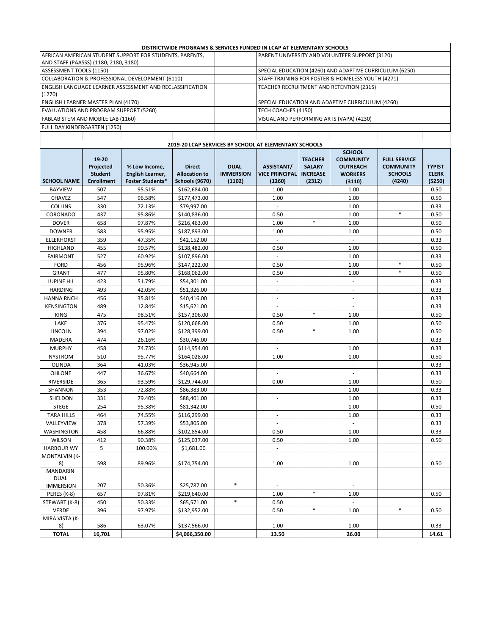| DISTRICTWIDE PROGRAMS & SERVICES FUNDED IN LCAP AT ELEMENTARY SCHOOLS |                                                         |  |  |  |  |
|-----------------------------------------------------------------------|---------------------------------------------------------|--|--|--|--|
| AFRICAN AMERICAN STUDENT SUPPORT FOR STUDENTS, PARENTS,               | PARENT UNIVERSITY AND VOLUNTEER SUPPORT (3120)          |  |  |  |  |
| AND STAFF (PAASSS) (1180, 2180, 3180)                                 |                                                         |  |  |  |  |
| ASSESSMENT TOOLS (1150)                                               | SPECIAL EDUCATION (4260) AND ADAPTIVE CURRICULUM (6250) |  |  |  |  |
| COLLABORATION & PROFESSIONAL DEVELOPMENT (6110)                       | STAFF TRAINING FOR FOSTER & HOMELESS YOUTH (4271)       |  |  |  |  |
| <b>LENGLISH LANGUAGE LEARNER ASSESSMENT AND RECLASSIFICATION</b>      | TEACHER RECRUITMENT AND RETENTION (2315)                |  |  |  |  |
| (1270)                                                                |                                                         |  |  |  |  |
| ENGLISH LEARNER MASTER PLAN (4170)                                    | SPECIAL EDUCATION AND ADAPTIVE CURRICULUM (4260)        |  |  |  |  |
| EVALUATIONS AND PROGRAM SUPPORT (5260)                                | TECH COACHES (4150)                                     |  |  |  |  |
| FABLAB STEM AND MOBILE LAB (1160)                                     | VISUAL AND PERFORMING ARTS (VAPA) (4230)                |  |  |  |  |
| FULL DAY KINDERGARTEN (1250)                                          |                                                         |  |  |  |  |
|                                                                       |                                                         |  |  |  |  |
| 2019-20 LCAP SERVICES BY SCHOOL AT ELEMENTARY SCHOOLS                 |                                                         |  |  |  |  |

|                      |                                                           |                                                              | 2019-20 LCAP SENVICES BY SCHOOL AT ELEIVIENTANY SCHOOLS        |                                           |                                                      |                                                              |                                                                                  |                                                                     |                                         |
|----------------------|-----------------------------------------------------------|--------------------------------------------------------------|----------------------------------------------------------------|-------------------------------------------|------------------------------------------------------|--------------------------------------------------------------|----------------------------------------------------------------------------------|---------------------------------------------------------------------|-----------------------------------------|
| <b>SCHOOL NAME</b>   | 19-20<br>Projected<br><b>Student</b><br><b>Enrollment</b> | % Low Income,<br>English Learner,<br><b>Foster Students*</b> | <b>Direct</b><br><b>Allocation to</b><br><b>Schools (9670)</b> | <b>DUAL</b><br><b>IMMERSION</b><br>(1102) | <b>ASSISTANT/</b><br><b>VICE PRINCIPAL</b><br>(1260) | <b>TEACHER</b><br><b>SALARY</b><br><b>INCREASE</b><br>(2312) | <b>SCHOOL</b><br><b>COMMUNITY</b><br><b>OUTREACH</b><br><b>WORKERS</b><br>(3110) | <b>FULL SERVICE</b><br><b>COMMUNITY</b><br><b>SCHOOLS</b><br>(4240) | <b>TYPIST</b><br><b>CLERK</b><br>(5250) |
| <b>BAYVIEW</b>       | 507                                                       | 95.51%                                                       | \$162,684.00                                                   |                                           | 1.00                                                 |                                                              | 1.00                                                                             |                                                                     | 0.50                                    |
| CHAVEZ               | 547                                                       | 96.58%                                                       | \$177,473.00                                                   |                                           | 1.00                                                 |                                                              | 1.00                                                                             |                                                                     | 0.50                                    |
| <b>COLLINS</b>       | 330                                                       | 72.13%                                                       | \$79,997.00                                                    |                                           | $\mathbb{Z}^2$                                       |                                                              | 1.00                                                                             |                                                                     | 0.33                                    |
| <b>CORONADO</b>      | 437                                                       | 95.86%                                                       | \$140,836.00                                                   |                                           | 0.50                                                 |                                                              | 1.00                                                                             | $\ast$                                                              | 0.50                                    |
| <b>DOVER</b>         | 658                                                       | 97.87%                                                       |                                                                |                                           | 1.00                                                 | $\ast$                                                       | 1.00                                                                             |                                                                     | 0.50                                    |
|                      |                                                           |                                                              | \$216,463.00                                                   |                                           |                                                      |                                                              |                                                                                  |                                                                     |                                         |
| <b>DOWNER</b>        | 583                                                       | 95.95%                                                       | \$187,893.00                                                   |                                           | 1.00                                                 |                                                              | 1.00                                                                             |                                                                     | 0.50                                    |
| <b>ELLERHORST</b>    | 359                                                       | 47.35%                                                       | \$42,152.00                                                    |                                           | $\overline{\phantom{a}}$                             |                                                              | $\sim$                                                                           |                                                                     | 0.33                                    |
| <b>HIGHLAND</b>      | 455                                                       | 90.57%                                                       | \$138,482.00                                                   |                                           | 0.50                                                 |                                                              | 1.00                                                                             |                                                                     | 0.50                                    |
| <b>FAIRMONT</b>      | 527                                                       | 60.92%                                                       | \$107,896.00                                                   |                                           | $\mathcal{L}$                                        |                                                              | 1.00                                                                             |                                                                     | 0.33                                    |
| <b>FORD</b>          | 456                                                       | 95.96%                                                       | \$147,222.00                                                   |                                           | 0.50                                                 |                                                              | 1.00                                                                             | $\ast$                                                              | 0.50                                    |
| <b>GRANT</b>         | 477                                                       | 95.80%                                                       | \$168,062.00                                                   |                                           | 0.50                                                 |                                                              | 1.00                                                                             | $\ast$                                                              | 0.50                                    |
| <b>LUPINE HIL</b>    | 423                                                       | 51.79%                                                       | \$54,301.00                                                    |                                           | $\mathcal{L}$                                        |                                                              | ä,                                                                               |                                                                     | 0.33                                    |
| <b>HARDING</b>       | 493                                                       | 42.05%                                                       | \$51,326.00                                                    |                                           | $\overline{\phantom{a}}$                             |                                                              | $\sim$                                                                           |                                                                     | 0.33                                    |
| <b>HANNA RNCH</b>    | 456                                                       | 35.81%                                                       | \$40,416.00                                                    |                                           | $\blacksquare$                                       |                                                              | $\overline{\phantom{a}}$                                                         |                                                                     | 0.33                                    |
| <b>KENSINGTON</b>    | 489                                                       | 12.84%                                                       | \$15,621.00                                                    |                                           | ä,                                                   |                                                              | $\overline{\phantom{a}}$                                                         |                                                                     | 0.33                                    |
| <b>KING</b>          | 475                                                       | 98.51%                                                       | \$157,306.00                                                   |                                           | 0.50                                                 | $\ast$                                                       | 1.00                                                                             |                                                                     | 0.50                                    |
| LAKE                 | 376                                                       | 95.47%                                                       | \$120,668.00                                                   |                                           | 0.50                                                 |                                                              | 1.00                                                                             |                                                                     | 0.50                                    |
| LINCOLN              | 394                                                       | 97.02%                                                       | \$128,399.00                                                   |                                           | 0.50                                                 | $\ast$                                                       | 1.00                                                                             |                                                                     | 0.50                                    |
| MADERA               | 474                                                       | 26.16%                                                       | \$30,746.00                                                    |                                           | $\overline{\phantom{a}}$                             |                                                              | $\sim$                                                                           |                                                                     | 0.33                                    |
| <b>MURPHY</b>        | 458                                                       | 74.73%                                                       | \$114,954.00                                                   |                                           | $\mathcal{L}$                                        |                                                              | 1.00                                                                             |                                                                     | 0.33                                    |
| <b>NYSTROM</b>       | 510                                                       | 95.77%                                                       | \$164,028.00                                                   |                                           | 1.00                                                 |                                                              | 1.00                                                                             |                                                                     | 0.50                                    |
| OLINDA               | 364                                                       | 41.03%                                                       | \$36,945.00                                                    |                                           | $\overline{\phantom{a}}$                             |                                                              | ÷,                                                                               |                                                                     | 0.33                                    |
| <b>OHLONE</b>        | 447                                                       | 36.67%                                                       | \$40,664.00                                                    |                                           | $\overline{\phantom{a}}$                             |                                                              | $\overline{\phantom{a}}$                                                         |                                                                     | 0.33                                    |
| RIVERSIDE            | 365                                                       | 93.59%                                                       | \$129,744.00                                                   |                                           | 0.00                                                 |                                                              | 1.00                                                                             |                                                                     | 0.50                                    |
| SHANNON              | 353                                                       | 72.88%                                                       | \$86,383.00                                                    |                                           | $\blacksquare$                                       |                                                              | 1.00                                                                             |                                                                     | 0.33                                    |
| SHELDON              | 331                                                       | 79.40%                                                       | \$88,401.00                                                    |                                           | ä,                                                   |                                                              | 1.00                                                                             |                                                                     | 0.33                                    |
| <b>STEGE</b>         | 254                                                       | 95.38%                                                       | \$81,342.00                                                    |                                           | ÷.                                                   |                                                              | 1.00                                                                             |                                                                     | 0.50                                    |
| <b>TARA HILLS</b>    | 464                                                       | 74.55%                                                       | \$116,299.00                                                   |                                           | ÷,                                                   |                                                              | 1.00                                                                             |                                                                     | 0.33                                    |
| VALLEYVIEW           | 378                                                       | 57.39%                                                       | \$53,805.00                                                    |                                           | $\overline{\phantom{a}}$                             |                                                              | $\mathcal{L}$                                                                    |                                                                     | 0.33                                    |
| <b>WASHINGTON</b>    | 458                                                       | 66.88%                                                       | \$102,854.00                                                   |                                           | 0.50                                                 |                                                              | 1.00                                                                             |                                                                     | 0.33                                    |
| WILSON               | 412                                                       | 90.38%                                                       | \$125,037.00                                                   |                                           | 0.50                                                 |                                                              | 1.00                                                                             |                                                                     | 0.50                                    |
| <b>HARBOUR WY</b>    | 5                                                         | 100.00%                                                      | \$1,681.00                                                     |                                           | L.                                                   |                                                              |                                                                                  |                                                                     |                                         |
| <b>MONTALVIN (K-</b> |                                                           |                                                              |                                                                |                                           |                                                      |                                                              |                                                                                  |                                                                     |                                         |
| 8)                   | 598                                                       | 89.96%                                                       | \$174,754.00                                                   |                                           | 1.00                                                 |                                                              | 1.00                                                                             |                                                                     | 0.50                                    |
| <b>MANDARIN</b>      |                                                           |                                                              |                                                                |                                           |                                                      |                                                              |                                                                                  |                                                                     |                                         |
| <b>DUAL</b>          |                                                           |                                                              |                                                                |                                           |                                                      |                                                              |                                                                                  |                                                                     |                                         |
| <b>IMMERSION</b>     | 207                                                       | 50.36%                                                       | \$25,787.00                                                    | *                                         | ÷.                                                   |                                                              |                                                                                  |                                                                     |                                         |
| PERES (K-8)          | 657                                                       | 97.81%                                                       | \$219,640.00                                                   |                                           | 1.00                                                 | $\ast$                                                       | 1.00                                                                             |                                                                     | 0.50                                    |
| STEWART (K-8)        | 450                                                       | 50.33%                                                       | \$65,571.00                                                    | $\ast$                                    | 0.50                                                 |                                                              | ä,                                                                               |                                                                     |                                         |
| <b>VERDE</b>         | 396                                                       | 97.97%                                                       | \$132,952.00                                                   |                                           | 0.50                                                 | $\ast$                                                       | 1.00                                                                             | *                                                                   | 0.50                                    |
| MIRA VISTA (K-       |                                                           |                                                              |                                                                |                                           |                                                      |                                                              |                                                                                  |                                                                     |                                         |
| 8)                   | 586                                                       | 63.07%                                                       | \$137,566.00                                                   |                                           | 1.00                                                 |                                                              | 1.00                                                                             |                                                                     | 0.33                                    |
| <b>TOTAL</b>         | 16,701                                                    |                                                              | \$4,066,350.00                                                 |                                           | 13.50                                                |                                                              | 26.00                                                                            |                                                                     | 14.61                                   |